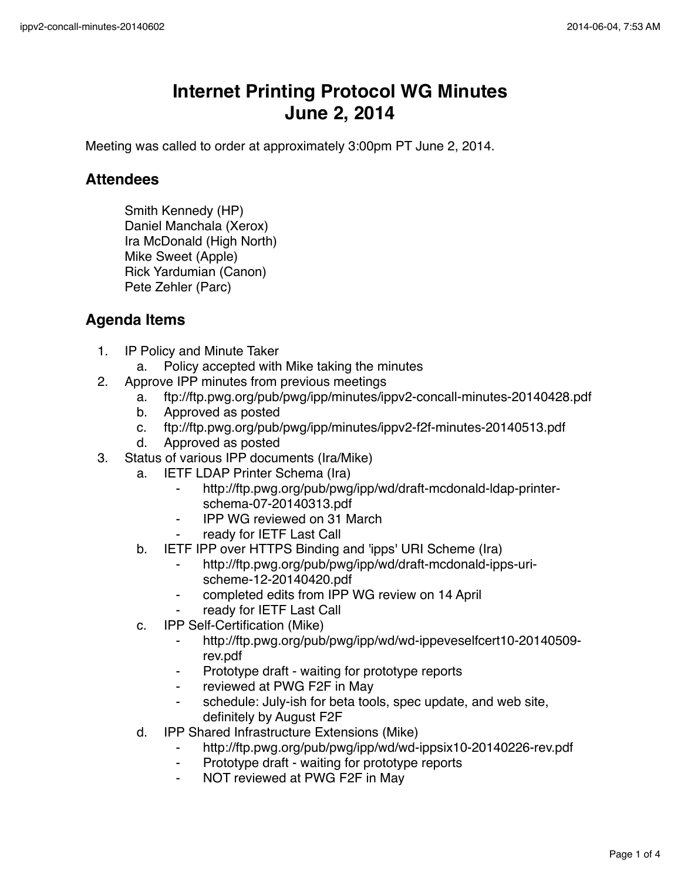## **Internet Printing Protocol WG Minutes June 2, 2014**

Meeting was called to order at approximately 3:00pm PT June 2, 2014.

## **Attendees**

Smith Kennedy (HP) Daniel Manchala (Xerox) Ira McDonald (High North) Mike Sweet (Apple) Rick Yardumian (Canon) Pete Zehler (Parc)

## **Agenda Items**

- 1. IP Policy and Minute Taker
	- a. Policy accepted with Mike taking the minutes
- 2. Approve IPP minutes from previous meetings
	- a. ftp://ftp.pwg.org/pub/pwg/ipp/minutes/ippv2-concall-minutes-20140428.pdf
	- b. Approved as posted
	- c. ftp://ftp.pwg.org/pub/pwg/ipp/minutes/ippv2-f2f-minutes-20140513.pdf
	- d. Approved as posted
- 3. Status of various IPP documents (Ira/Mike)
	- a. IETF LDAP Printer Schema (Ira)
		- http://ftp.pwg.org/pub/pwg/ipp/wd/draft-mcdonald-ldap-printerschema-07-20140313.pdf
		- ⁃ IPP WG reviewed on 31 March
		- ready for IETF Last Call
	- b. IETF IPP over HTTPS Binding and 'ipps' URI Scheme (Ira)
		- ⁃ http://ftp.pwg.org/pub/pwg/ipp/wd/draft-mcdonald-ipps-urischeme-12-20140420.pdf
		- ⁃ completed edits from IPP WG review on 14 April
		- ready for IETF Last Call
	- c. IPP Self-Certification (Mike)
		- ⁃ http://ftp.pwg.org/pub/pwg/ipp/wd/wd-ippeveselfcert10-20140509 rev.pdf
		- ⁃ Prototype draft waiting for prototype reports
		- ⁃ reviewed at PWG F2F in May
		- schedule: July-ish for beta tools, spec update, and web site, definitely by August F2F
	- d. IPP Shared Infrastructure Extensions (Mike)
		- ⁃ http://ftp.pwg.org/pub/pwg/ipp/wd/wd-ippsix10-20140226-rev.pdf
		- Prototype draft waiting for prototype reports
		- NOT reviewed at PWG F2F in May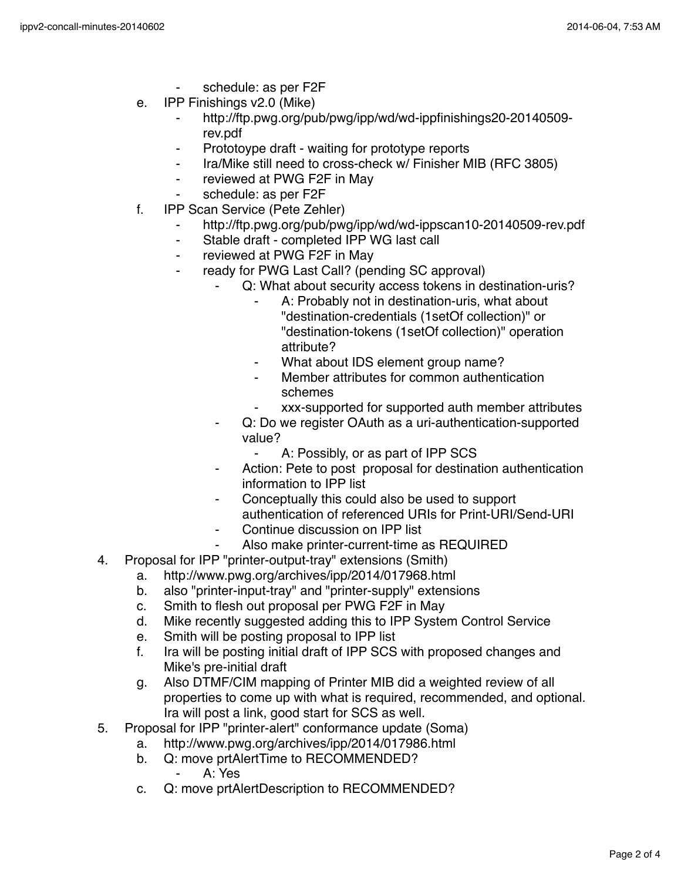- schedule: as per F2F
- e. IPP Finishings v2.0 (Mike)
	- ⁃ http://ftp.pwg.org/pub/pwg/ipp/wd/wd-ippfinishings20-20140509 rev.pdf
	- ⁃ Prototoype draft waiting for prototype reports
	- ⁃ Ira/Mike still need to cross-check w/ Finisher MIB (RFC 3805)
	- ⁃ reviewed at PWG F2F in May
	- schedule: as per F2F
- f. IPP Scan Service (Pete Zehler)
	- http://ftp.pwg.org/pub/pwg/ipp/wd/wd-ippscan10-20140509-rev.pdf
	- ⁃ Stable draft completed IPP WG last call
	- ⁃ reviewed at PWG F2F in May
	- ready for PWG Last Call? (pending SC approval)
		- Q: What about security access tokens in destination-uris?
			- A: Probably not in destination-uris, what about "destination-credentials (1setOf collection)" or "destination-tokens (1setOf collection)" operation attribute?
			- ⁃ What about IDS element group name?
			- Member attributes for common authentication schemes
			- ⁃ xxx-supported for supported auth member attributes
		- Q: Do we register OAuth as a uri-authentication-supported value?
			- ⁃ A: Possibly, or as part of IPP SCS
		- Action: Pete to post proposal for destination authentication information to IPP list
		- Conceptually this could also be used to support authentication of referenced URIs for Print-URI/Send-URI
		- Continue discussion on IPP list
		- Also make printer-current-time as REQUIRED
- 4. Proposal for IPP "printer-output-tray" extensions (Smith)
	- a. http://www.pwg.org/archives/ipp/2014/017968.html
	- b. also "printer-input-tray" and "printer-supply" extensions
	- c. Smith to flesh out proposal per PWG F2F in May
	- d. Mike recently suggested adding this to IPP System Control Service
	- e. Smith will be posting proposal to IPP list
	- f. Ira will be posting initial draft of IPP SCS with proposed changes and Mike's pre-initial draft
	- g. Also DTMF/CIM mapping of Printer MIB did a weighted review of all properties to come up with what is required, recommended, and optional. Ira will post a link, good start for SCS as well.
- 5. Proposal for IPP "printer-alert" conformance update (Soma)
	- a. http://www.pwg.org/archives/ipp/2014/017986.html
	- b. Q: move prtAlertTime to RECOMMENDED?
		- ⁃ A: Yes
	- c. Q: move prtAlertDescription to RECOMMENDED?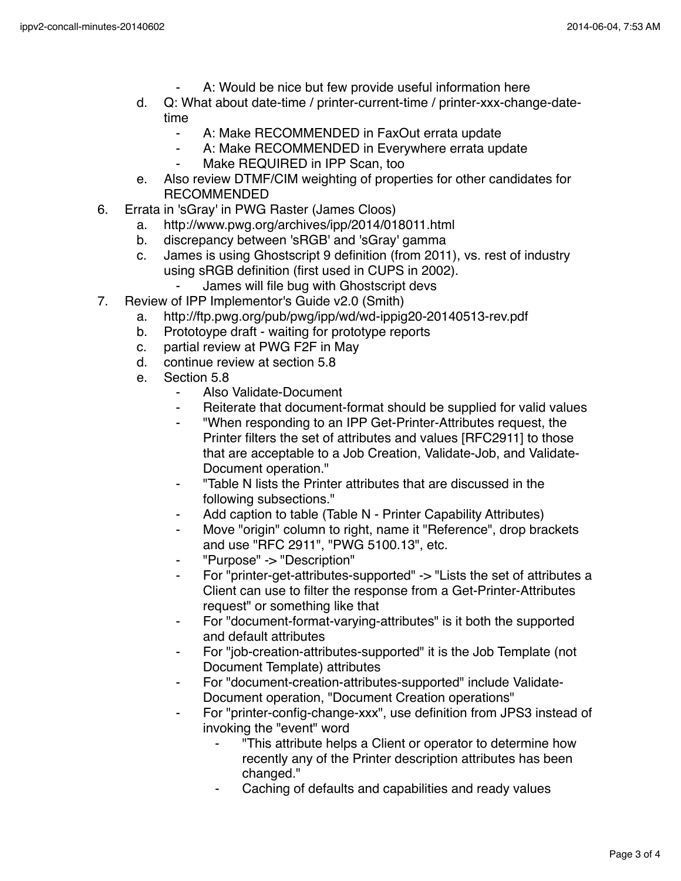- A: Would be nice but few provide useful information here
- d. Q: What about date-time / printer-current-time / printer-xxx-change-datetime
	- ⁃ A: Make RECOMMENDED in FaxOut errata update
	- ⁃ A: Make RECOMMENDED in Everywhere errata update
	- Make REQUIRED in IPP Scan, too
- e. Also review DTMF/CIM weighting of properties for other candidates for RECOMMENDED
- 6. Errata in 'sGray' in PWG Raster (James Cloos)
	- a. http://www.pwg.org/archives/ipp/2014/018011.html
	- b. discrepancy between 'sRGB' and 'sGray' gamma
	- c. James is using Ghostscript 9 definition (from 2011), vs. rest of industry using sRGB definition (first used in CUPS in 2002).
		- James will file bug with Ghostscript devs
- 7. Review of IPP Implementor's Guide v2.0 (Smith)
	- a. http://ftp.pwg.org/pub/pwg/ipp/wd/wd-ippig20-20140513-rev.pdf
	- b. Prototoype draft waiting for prototype reports
	- c. partial review at PWG F2F in May
	- d. continue review at section 5.8
	- e. Section 5.8
		- Also Validate-Document
		- ⁃ Reiterate that document-format should be supplied for valid values
		- ⁃ "When responding to an IPP Get-Printer-Attributes request, the Printer filters the set of attributes and values [RFC2911] to those that are acceptable to a Job Creation, Validate-Job, and Validate-Document operation."
		- ⁃ "Table N lists the Printer attributes that are discussed in the following subsections."
		- Add caption to table (Table N Printer Capability Attributes)
		- Move "origin" column to right, name it "Reference", drop brackets and use "RFC 2911", "PWG 5100.13", etc.
		- ⁃ "Purpose" -> "Description"
		- For "printer-get-attributes-supported" -> "Lists the set of attributes a Client can use to filter the response from a Get-Printer-Attributes request" or something like that
		- For "document-format-varying-attributes" is it both the supported and default attributes
		- For "job-creation-attributes-supported" it is the Job Template (not Document Template) attributes
		- For "document-creation-attributes-supported" include Validate-Document operation, "Document Creation operations"
		- ⁃ For "printer-config-change-xxx", use definition from JPS3 instead of invoking the "event" word
			- ⁃ "This attribute helps a Client or operator to determine how recently any of the Printer description attributes has been changed."
			- Caching of defaults and capabilities and ready values